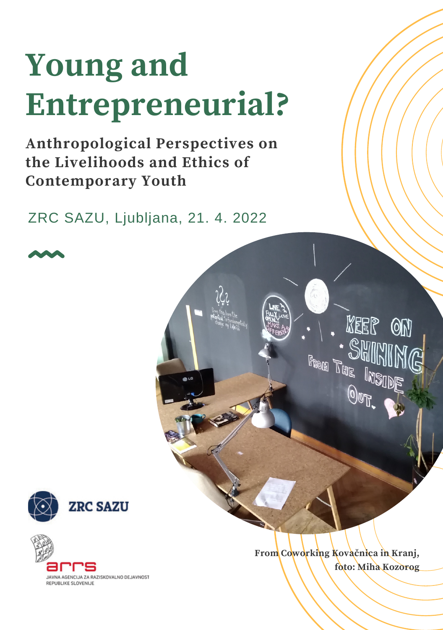# **Young and Entrepreneurial?**

**Anthropological Perspectives on the Livelihoods and Ethics of Contemporary Youth**

ZRC SAZU, Ljubljana, 21. 4. 2022





**From Coworking Kovačnica in Kranj, foto: Miha Kozorog**

**REEP** 

From The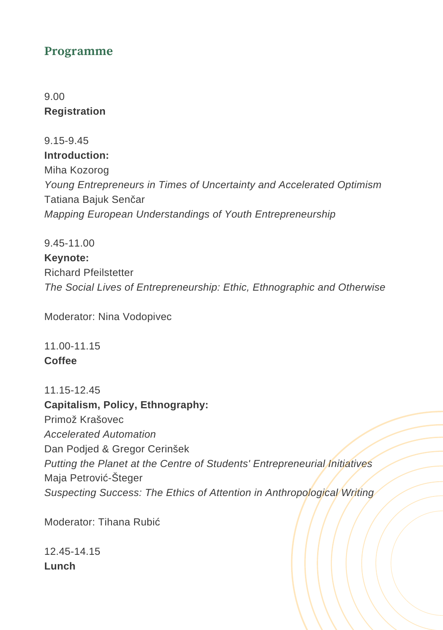#### **Programme**

9.00 **Registration**

9.15-9.45 **Introduction:** Miha Kozorog *Young Entrepreneurs in Times of Uncertainty and Accelerated Optimism* Tatiana Bajuk Senčar *Mapping European Understandings of Youth Entrepreneurship*

9.45-11.00 **Keynote:** Richard Pfeilstetter *The Social Lives of Entrepreneurship: Ethic, Ethnographic and Otherwise*

Moderator: Nina Vodopivec

11.00-11.15 **Coffee**

11.15-12.45 **Capitalism, Policy, Ethnography:** Primož Krašovec *Accelerated Automation* Dan Podjed & Gregor Cerinšek *Putting the Planet at the Centre of Students' Entrepreneurial Initiatives* Maja Petrović-Šteger *Suspecting Success: The Ethics of Attention in Anthropological Writing*

Moderator: Tihana Rubić

12.45-14.15 **Lunch**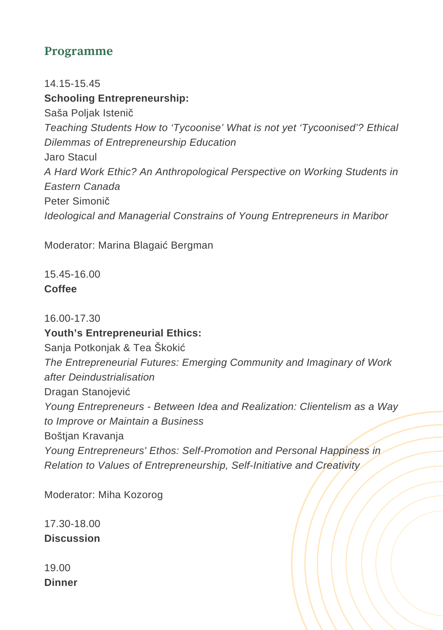#### **Programme**

14.15-15.45

**Schooling Entrepreneurship:** Saša Poljak Istenič *Teaching Students How to 'Tycoonise' What is not yet 'Tycoonised'? Ethical Dilemmas of Entrepreneurship Education* Jaro Stacul *A Hard Work Ethic? An Anthropological Perspective on Working Students in Eastern Canada* Peter Simonič *Ideological and Managerial Constrains of Young Entrepreneurs in Maribor*

Moderator: Marina Blagaić Bergman

15.45-16.00 **Coffee**

16.00-17.30 **Youth's Entrepreneurial Ethics:** Sanja Potkonjak & Tea Škokić *The Entrepreneurial Futures: Emerging Community and Imaginary of Work after Deindustrialisation* Dragan Stanojević *Young Entrepreneurs - Between Idea and Realization: Clientelism as a Way to Improve or Maintain a Business* Boštjan Kravanja *Young Entrepreneurs' Ethos: Self-Promotion and Personal Happiness in Relation to Values of Entrepreneurship, Self-Initiative and Creativity*

Moderator: Miha Kozorog

17.30-18.00 **Discussion**

19.00 **Dinner**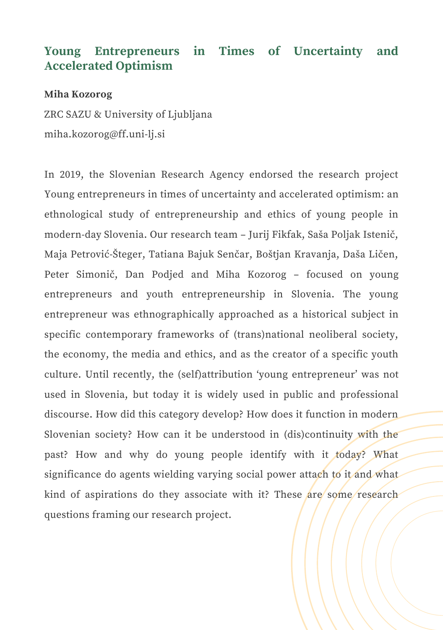# **Young Entrepreneurs in Times of Uncertainty and Accelerated Optimism**

#### **Miha Kozorog**

ZRC SAZU & University of Ljubljana miha.kozorog@ff.uni-lj.si

In 2019, the Slovenian Research Agency endorsed the research project Young entrepreneurs in times of uncertainty and accelerated optimism: an ethnological study of [entrepreneurship](http://www.sicris.si/public/jqm/prj.aspx?lang=eng&opdescr=search&opt=2&subopt=400&code1=cmn&code2=auto&psize=1&hits=1&page=1&count=&search_term=miha%20kozorog&id=17876&slng=&order_by=) and ethics of young people in modern-day Slovenia. Our research team – Jurij Fikfak, Saša Poljak Istenič, Maja Petrović-Šteger, Tatiana Bajuk Senčar, Boštjan Kravanja, Daša Ličen, Peter Simonič, Dan Podjed and Miha Kozorog – focused on young entrepreneurs and youth entrepreneurship in Slovenia. The young entrepreneur was ethnographically approached as a historical subject in specific contemporary frameworks of (trans)national neoliberal society, the economy, the media and ethics, and as the creator of a specific youth culture. Until recently, the (self)attribution 'young entrepreneur' was not used in Slovenia, but today it is widely used in public and professional discourse. How did this category develop? How does it function in modern Slovenian society? How can it be understood in (dis)continuity with the past? How and why do young people identify with it today? What significance do agents wielding varying social power attach to it and what kind of aspirations do they associate with it? These are some research questions framing our research project.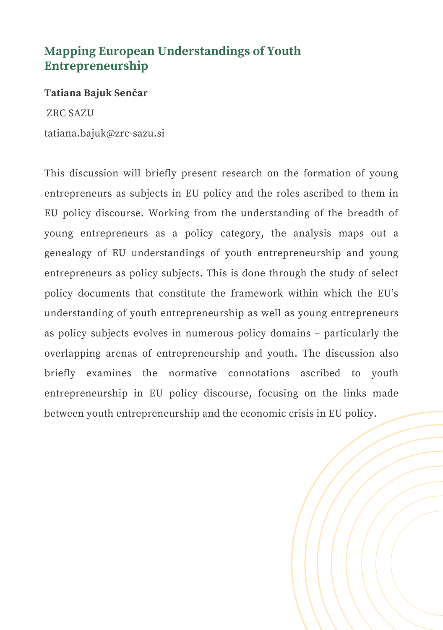# **Mapping European Understandings of Youth Entrepreneurship**

**Tatiana Bajuk Senčar**

ZRC SAZU

tatiana.bajuk@zrc-sazu.si

This discussion will briefly present research on the formation of young entrepreneurs as subjects in EU policy and the roles ascribed to them in EU policy discourse. Working from the understanding of the breadth of young entrepreneurs as a policy category, the analysis maps out a genealogy of EU understandings of youth entrepreneurship and young entrepreneurs as policy subjects. This is done through the study of select policy documents that constitute the framework within which the EU's understanding of youth entrepreneurship as well as young entrepreneurs as policy subjects evolves in numerous policy domains – particularly the overlapping arenas of entrepreneurship and youth. The discussion also briefly examines the normative connotations ascribed to youth entrepreneurship in EU policy discourse, focusing on the links made between youth entrepreneurship and the economic crisis in EU policy.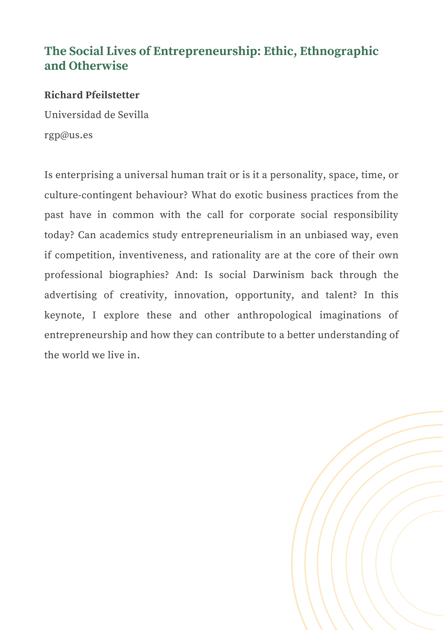# **The Social Lives of Entrepreneurship: Ethic, Ethnographic and Otherwise**

#### **Richard Pfeilstetter**

Universidad de Sevilla rgp@us.es

Is enterprising a universal human trait or is it a personality, space, time, or culture-contingent behaviour? What do exotic business practices from the past have in common with the call for corporate social responsibility today? Can academics study entrepreneurialism in an unbiased way, even if competition, inventiveness, and rationality are at the core of their own professional biographies? And: Is social Darwinism back through the advertising of creativity, innovation, opportunity, and talent? In this keynote, I explore these and other anthropological imaginations of entrepreneurship and how they can contribute to a better understanding of the world we live in.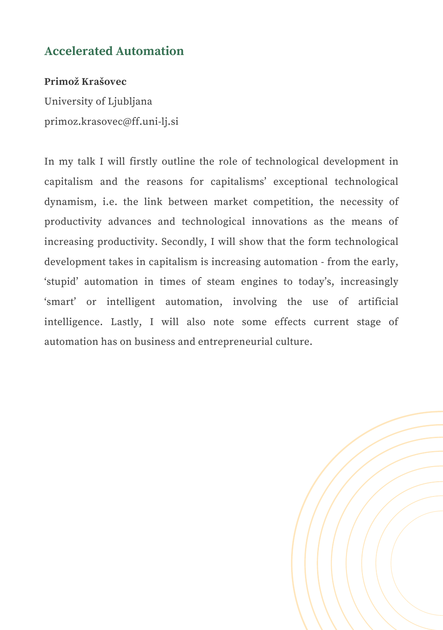#### **Accelerated Automation**

#### **Primož Krašovec**

University of Ljubljana [primoz.krasovec@ff.uni-lj.si](mailto:primoz.krasovec@ff.uni-lj.si)

In my talk I will firstly outline the role of technological development in capitalism and the reasons for capitalisms' exceptional technological dynamism, i.e. the link between market competition, the necessity of productivity advances and technological innovations as the means of increasing productivity. Secondly, I will show that the form technological development takes in capitalism is increasing automation - from the early, 'stupid' automation in times of steam engines to today's, increasingly 'smart' or intelligent automation, involving the use of artificial intelligence. Lastly, I will also note some effects current stage of automation has on business and entrepreneurial culture.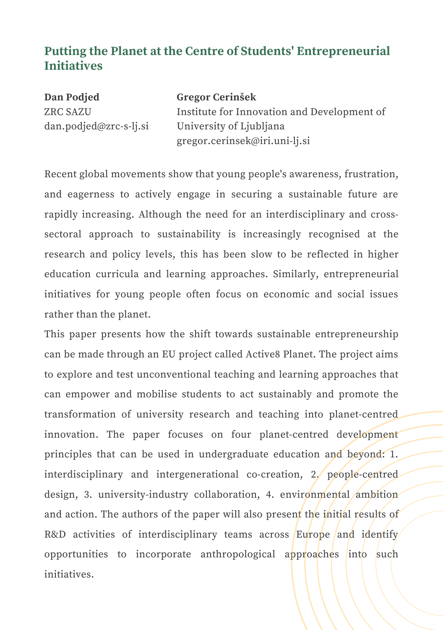### **Putting the Planet at the Centre of Students' Entrepreneurial Initiatives**

**Dan Podjed** ZRC SAZU dan.podjed@zrc-s-lj.si

**Gregor Cerinšek** Institute for Innovation and Development of University of Ljubljana gregor.cerinsek@iri.uni-lj.si

Recent global movements show that young people's awareness, frustration, and eagerness to actively engage in securing a sustainable future are rapidly increasing. Although the need for an interdisciplinary and crosssectoral approach to sustainability is increasingly recognised at the research and policy levels, this has been slow to be reflected in higher education curricula and learning approaches. Similarly, entrepreneurial initiatives for young people often focus on economic and social issues rather than the planet.

This paper presents how the shift towards sustainable entrepreneurship can be made through an EU project called Active8 Planet. The project aims to explore and test unconventional teaching and learning approaches that can empower and mobilise students to act sustainably and promote the transformation of university research and teaching into planet-centred innovation. The paper focuses on four planet-centred development principles that can be used in undergraduate education and beyond: 1. interdisciplinary and intergenerational co-creation, 2. people-centred design, 3. university-industry collaboration, 4. environmental ambition and action. The authors of the paper will also present the initial results of R&D activities of interdisciplinary teams across Europe and identify opportunities to incorporate anthropological approaches into such initiatives.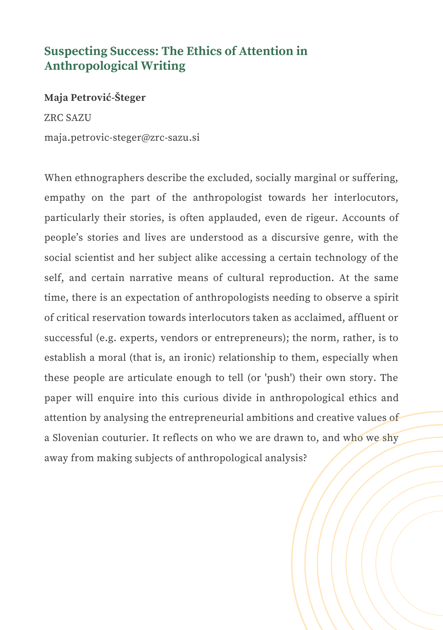# **Suspecting Success: The Ethics of Attention in Anthropological Writing**

#### **Maja Petrović-Šteger**

ZRC SAZU

maja.petrovic-steger@zrc-sazu.si

When ethnographers describe the excluded, socially marginal or suffering, empathy on the part of the anthropologist towards her interlocutors, particularly their stories, is often applauded, even de rigeur. Accounts of people's stories and lives are understood as a discursive genre, with the social scientist and her subject alike accessing a certain technology of the self, and certain narrative means of cultural reproduction. At the same time, there is an expectation of anthropologists needing to observe a spirit of critical reservation towards interlocutors taken as acclaimed, affluent or successful (e.g. experts, vendors or entrepreneurs); the norm, rather, is to establish a moral (that is, an ironic) relationship to them, especially when these people are articulate enough to tell (or 'push') their own story. The paper will enquire into this curious divide in anthropological ethics and attention by analysing the entrepreneurial ambitions and creative values of a Slovenian couturier. It reflects on who we are drawn to, and who we shy away from making subjects of anthropological analysis?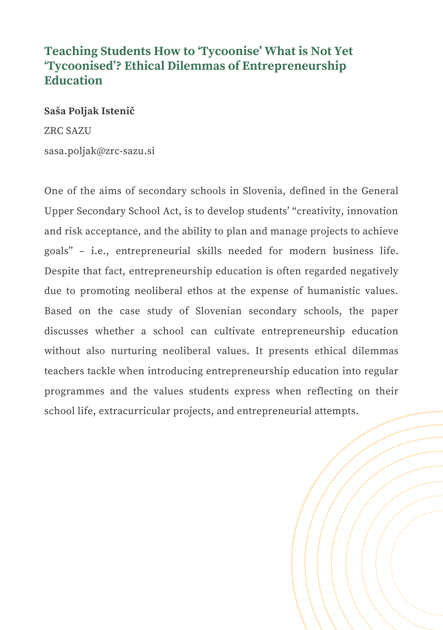# **Teaching Students How to 'Tycoonise' What is Not Yet 'Tycoonised'? Ethical Dilemmas of Entrepreneurship Education**

**Saša Poljak Istenič**

ZRC SAZU

sasa.poljak@zrc-sazu.si

One of the aims of secondary schools in Slovenia, defined in the General Upper Secondary School Act, is to develop students' "creativity, innovation and risk acceptance, and the ability to plan and manage projects to achieve goals" – i.e., entrepreneurial skills needed for modern business life. Despite that fact, entrepreneurship education is often regarded negatively due to promoting neoliberal ethos at the expense of humanistic values. Based on the case study of Slovenian secondary schools, the paper discusses whether a school can cultivate entrepreneurship education without also nurturing neoliberal values. It presents ethical dilemmas teachers tackle when introducing entrepreneurship education into regular programmes and the values students express when reflecting on their school life, extracurricular projects, and entrepreneurial attempts.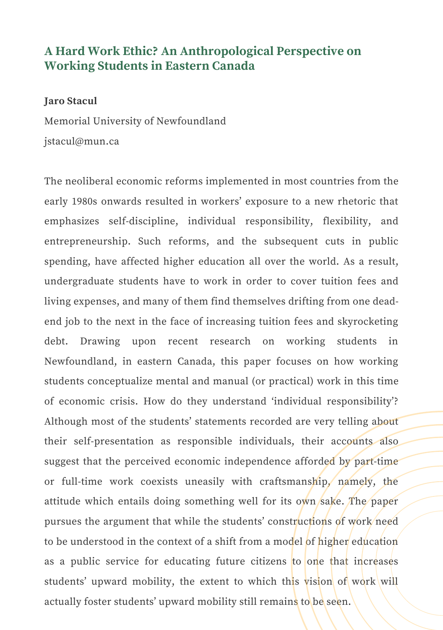## **A Hard Work Ethic? An Anthropological Perspective on Working Students in Eastern Canada**

#### **Jaro Stacul**

Memorial University of Newfoundland jstacul@mun.ca

The neoliberal economic reforms implemented in most countries from the early 1980s onwards resulted in workers' exposure to a new rhetoric that emphasizes self-discipline, individual responsibility, flexibility, and entrepreneurship. Such reforms, and the subsequent cuts in public spending, have affected higher education all over the world. As a result, undergraduate students have to work in order to cover tuition fees and living expenses, and many of them find themselves drifting from one deadend job to the next in the face of increasing tuition fees and skyrocketing debt. Drawing upon recent research on working students in Newfoundland, in eastern Canada, this paper focuses on how working students conceptualize mental and manual (or practical) work in this time of economic crisis. How do they understand 'individual responsibility'? Although most of the students' statements recorded are very telling about their self-presentation as responsible individuals, their accounts also suggest that the perceived economic independence afforded by part-time or full-time work coexists uneasily with craftsmanship, namely, the attitude which entails doing something well for its own sake. The paper pursues the argument that while the students' constructions of work need to be understood in the context of a shift from a model of higher education as a public service for educating future citizens to one that increases students' upward mobility, the extent to which this vision of work will actually foster students' upward mobility still remains to be seen.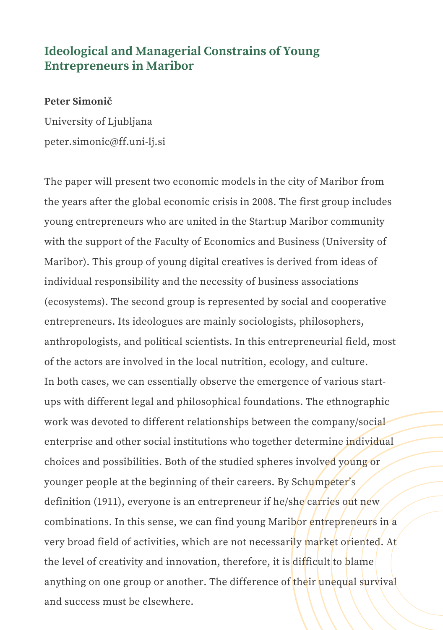# **Ideological and Managerial Constrains of Young Entrepreneurs in Maribor**

#### **Peter Simonič**

University of Ljubljana peter.simonic@ff.uni-lj.si

The paper will present two economic models in the city of Maribor from the years after the global economic crisis in 2008. The first group includes young entrepreneurs who are united in the Start:up Maribor community with the support of the Faculty of Economics and Business (University of Maribor). This group of young digital creatives is derived from ideas of individual responsibility and the necessity of business associations (ecosystems). The second group is represented by social and cooperative entrepreneurs. Its ideologues are mainly sociologists, philosophers, anthropologists, and political scientists. In this entrepreneurial field, most of the actors are involved in the local nutrition, ecology, and culture. In both cases, we can essentially observe the emergence of various startups with different legal and philosophical foundations. The ethnographic work was devoted to different relationships between the company/social enterprise and other social institutions who together determine individual choices and possibilities. Both of the studied spheres involved young or younger people at the beginning of their careers. By Schumpeter's definition (1911), everyone is an entrepreneur if he/she carries out new combinations. In this sense, we can find young Maribor entrepreneurs in a very broad field of activities, which are not necessarily market oriented. At the level of creativity and innovation, therefore, it is difficult to blame anything on one group or another. The difference of their unequal survival and success must be elsewhere.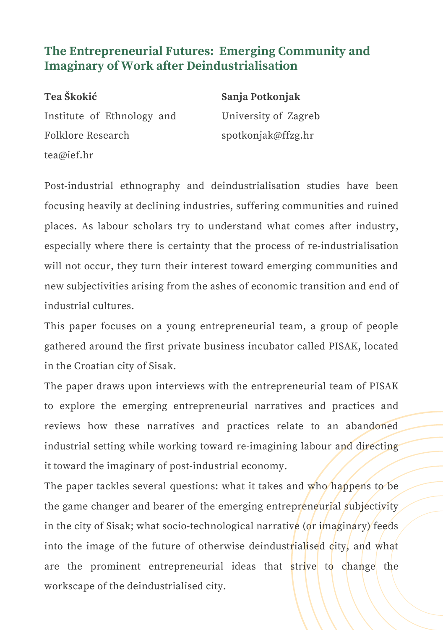# **The Entrepreneurial Futures: Emerging Community and Imaginary of Work after Deindustrialisation**

#### **Tea Škokić**

Institute of Ethnology and Folklore Research tea@ief.hr

## **Sanja Potkonjak**

University of Zagreb spotkonjak@ffzg.hr

Post-industrial ethnography and deindustrialisation studies have been focusing heavily at declining industries, suffering communities and ruined places. As labour scholars try to understand what comes after industry, especially where there is certainty that the process of re-industrialisation will not occur, they turn their interest toward emerging communities and new subjectivities arising from the ashes of economic transition and end of industrial cultures.

This paper focuses on a young entrepreneurial team, a group of people gathered around the first private business incubator called PISAK, located in the Croatian city of Sisak.

The paper draws upon interviews with the entrepreneurial team of PISAK to explore the emerging entrepreneurial narratives and practices and reviews how these narratives and practices relate to an abandoned industrial setting while working toward re-imagining labour and directing it toward the imaginary of post-industrial economy.

The paper tackles several questions: what it takes and who happens to be the game changer and bearer of the emerging entrepreneurial subjectivity in the city of Sisak; what socio-technological narrative (or imaginary) feeds into the image of the future of otherwise deindustrialised city, and what are the prominent entrepreneurial ideas that strive to change the workscape of the deindustrialised city.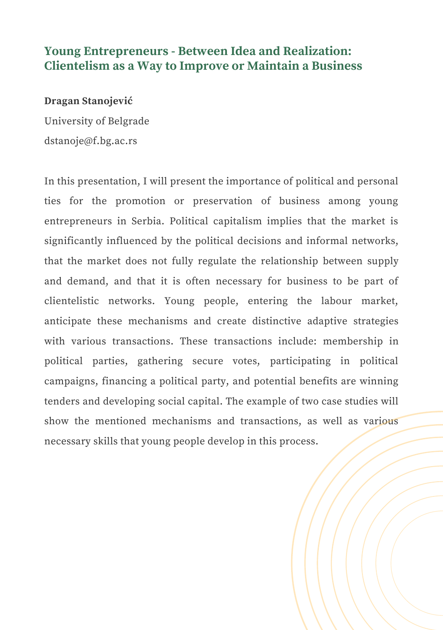#### **Young Entrepreneurs - Between Idea and Realization: Clientelism as a Way to Improve or Maintain a Business**

#### **Dragan Stanojević**

University of Belgrade [dstanoje@f.bg.ac.rs](mailto:dstanoje@f.bg.ac.rs)

In this presentation, I will present the importance of political and personal ties for the promotion or preservation of business among young entrepreneurs in Serbia. Political capitalism implies that the market is significantly influenced by the political decisions and informal networks, that the market does not fully regulate the relationship between supply and demand, and that it is often necessary for business to be part of clientelistic networks. Young people, entering the labour market, anticipate these mechanisms and create distinctive adaptive strategies with various transactions. These transactions include: membership in political parties, gathering secure votes, participating in political campaigns, financing a political party, and potential benefits are winning tenders and developing social capital. The example of two case studies will show the mentioned mechanisms and transactions, as well as various necessary skills that young people develop in this process.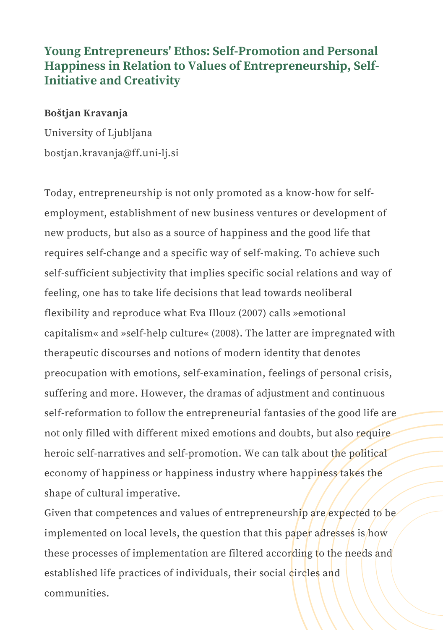# **Young Entrepreneurs' Ethos: Self-Promotion and Personal Happiness in Relation to Values of Entrepreneurship, Self-Initiative and Creativity**

#### **Boštjan Kravanja**

University of Ljubljana bostjan.kravanja@ff.uni-lj.si

Today, entrepreneurship is not only promoted as a know-how for selfemployment, establishment of new business ventures or development of new products, but also as a source of happiness and the good life that requires self-change and a specific way of self-making. To achieve such self-sufficient subjectivity that implies specific social relations and way of feeling, one has to take life decisions that lead towards neoliberal flexibility and reproduce what Eva Illouz (2007) calls »emotional capitalism« and »self-help culture« (2008). The latter are impregnated with therapeutic discourses and notions of modern identity that denotes preocupation with emotions, self-examination, feelings of personal crisis, suffering and more. However, the dramas of adjustment and continuous self-reformation to follow the entrepreneurial fantasies of the good life are not only filled with different mixed emotions and doubts, but also require heroic self-narratives and self-promotion. We can talk about the political economy of happiness or happiness industry where happiness takes the shape of cultural imperative.

Given that competences and values of entrepreneurship are expected to be implemented on local levels, the question that this paper adresses is how these processes of implementation are filtered according to the needs and established life practices of individuals, their social circles and communities.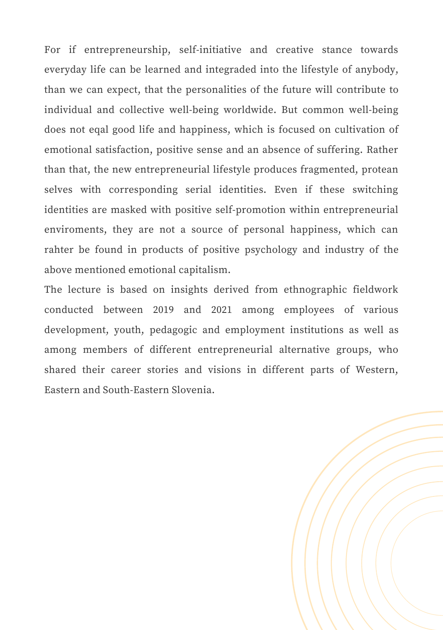For if entrepreneurship, self-initiative and creative stance towards everyday life can be learned and integraded into the lifestyle of anybody, than we can expect, that the personalities of the future will contribute to individual and collective well-being worldwide. But common well-being does not eqal good life and happiness, which is focused on cultivation of emotional satisfaction, positive sense and an absence of suffering. Rather than that, the new entrepreneurial lifestyle produces fragmented, protean selves with corresponding serial identities. Even if these switching identities are masked with positive self-promotion within entrepreneurial enviroments, they are not a source of personal happiness, which can rahter be found in products of positive psychology and industry of the above mentioned emotional capitalism.

The lecture is based on insights derived from ethnographic fieldwork conducted between 2019 and 2021 among employees of various development, youth, pedagogic and employment institutions as well as among members of different entrepreneurial alternative groups, who shared their career stories and visions in different parts of Western, Eastern and South-Eastern Slovenia.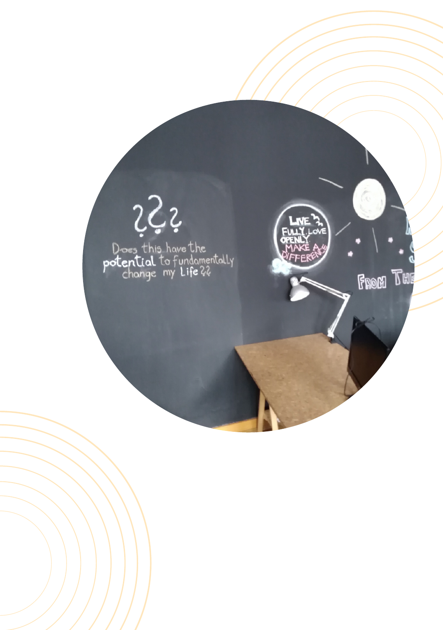